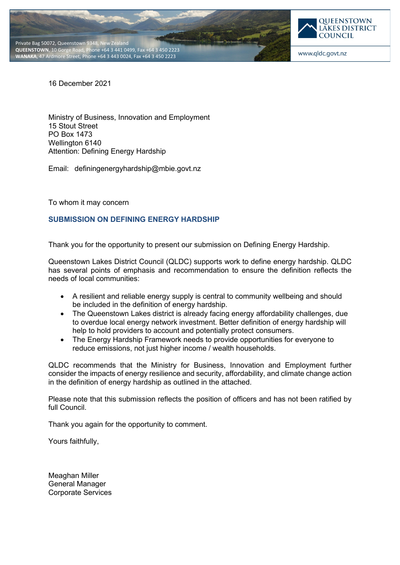



www.qldc.govt.nz

16 December 2021

Ministry of Business, Innovation and Employment 15 Stout Street PO Box 1473 Wellington 6140 Attention: Defining Energy Hardship

Email: [definingenergyhardship@mbie.govt.nz](mailto:definingenergyhardship@mbie.govt.nz)

To whom it may concern

## **SUBMISSION ON DEFINING ENERGY HARDSHIP**

Thank you for the opportunity to present our submission on Defining Energy Hardship.

Queenstown Lakes District Council (QLDC) supports work to define energy hardship. QLDC has several points of emphasis and recommendation to ensure the definition reflects the needs of local communities:

- A resilient and reliable energy supply is central to community wellbeing and should be included in the definition of energy hardship.
- The Queenstown Lakes district is already facing energy affordability challenges, due to overdue local energy network investment. Better definition of energy hardship will help to hold providers to account and potentially protect consumers.
- The Energy Hardship Framework needs to provide opportunities for everyone to reduce emissions, not just higher income / wealth households.

QLDC recommends that the Ministry for Business, Innovation and Employment further consider the impacts of energy resilience and security, affordability, and climate change action in the definition of energy hardship as outlined in the attached.

Please note that this submission reflects the position of officers and has not been ratified by full Council.

Thank you again for the opportunity to comment.

Yours faithfully,

Meaghan Miller General Manager Corporate Services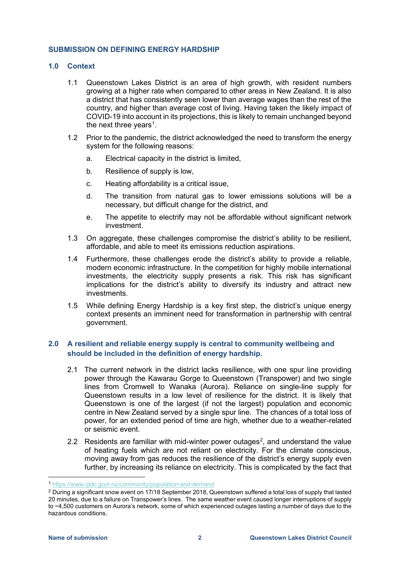### **SUBMISSION ON DEFINING ENERGY HARDSHIP**

### **1.0 Context**

- 1.1 Queenstown Lakes District is an area of high growth, with resident numbers growing at a higher rate when compared to other areas in New Zealand. It is also a district that has consistently seen lower than average wages than the rest of the country, and higher than average cost of living. Having taken the likely impact of COVID-19 into account in its projections, this is likely to remain unchanged beyond the next three years<sup>[1](#page-1-0)</sup>.
- 1.2 Prior to the pandemic, the district acknowledged the need to transform the energy system for the following reasons:
	- a. Electrical capacity in the district is limited,
	- b. Resilience of supply is low,
	- c. Heating affordability is a critical issue,
	- d. The transition from natural gas to lower emissions solutions will be a necessary, but difficult change for the district, and
	- e. The appetite to electrify may not be affordable without significant network investment.
- 1.3 On aggregate, these challenges compromise the district's ability to be resilient, affordable, and able to meet its emissions reduction aspirations.
- 1.4 Furthermore, these challenges erode the district's ability to provide a reliable, modern economic infrastructure. In the competition for highly mobile international investments, the electricity supply presents a risk. This risk has significant implications for the district's ability to diversify its industry and attract new investments.
- 1.5 While defining Energy Hardship is a key first step, the district's unique energy context presents an imminent need for transformation in partnership with central government.

# **2.0 A resilient and reliable energy supply is central to community wellbeing and should be included in the definition of energy hardship.**

- 2.1 The current network in the district lacks resilience, with one spur line providing power through the Kawarau Gorge to Queenstown (Transpower) and two single lines from Cromwell to Wanaka (Aurora). Reliance on single-line supply for Queenstown results in a low level of resilience for the district. It is likely that Queenstown is one of the largest (if not the largest) population and economic centre in New Zealand served by a single spur line. The chances of a total loss of power, for an extended period of time are high, whether due to a weather-related or seismic event.
- [2](#page-1-1).2 Residents are familiar with mid-winter power outages<sup>2</sup>, and understand the value of heating fuels which are not reliant on electricity. For the climate conscious, moving away from gas reduces the resilience of the district's energy supply even further, by increasing its reliance on electricity. This is complicated by the fact that

<span id="page-1-0"></span><sup>1</sup> <https://www.qldc.govt.nz/community/population-and-demand>

<span id="page-1-1"></span><sup>&</sup>lt;sup>2</sup> During a significant snow event on 17/18 September 2018, Queenstown suffered a total loss of supply that lasted 20 minutes, due to a failure on Transpower's lines. The same weather event caused longer interruptions of supply to ~4,500 customers on Aurora's network, some of which experienced outages lasting a number of days due to the hazardous conditions.